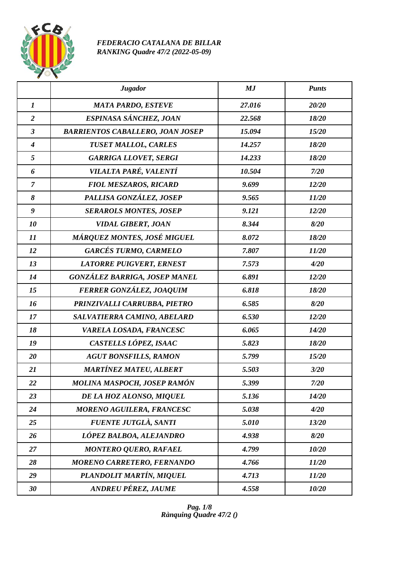

## *FEDERACIO CATALANA DE BILLAR RANKING Quadre 47/2 (2022-05-09)*

|                  | <b>Jugador</b>                          | MJ     | <b>Punts</b> |
|------------------|-----------------------------------------|--------|--------------|
| $\boldsymbol{l}$ | <b>MATA PARDO, ESTEVE</b>               | 27.016 | 20/20        |
| $\overline{2}$   | ESPINASA SÁNCHEZ, JOAN                  | 22.568 | 18/20        |
| $\mathfrak{z}$   | <b>BARRIENTOS CABALLERO, JOAN JOSEP</b> | 15.094 | 15/20        |
| $\boldsymbol{4}$ | <b>TUSET MALLOL, CARLES</b>             | 14.257 | 18/20        |
| 5                | <b>GARRIGA LLOVET, SERGI</b>            | 14.233 | 18/20        |
| 6                | VILALTA PARÉ, VALENTÍ                   | 10.504 | 7/20         |
| $\overline{7}$   | <b>FIOL MESZAROS, RICARD</b>            | 9.699  | 12/20        |
| 8                | PALLISA GONZÁLEZ, JOSEP                 | 9.565  | 11/20        |
| $\boldsymbol{g}$ | <b>SERAROLS MONTES, JOSEP</b>           | 9.121  | 12/20        |
| 10               | <b>VIDAL GIBERT, JOAN</b>               | 8.344  | 8/20         |
| 11               | MÁRQUEZ MONTES, JOSÉ MIGUEL             | 8.072  | 18/20        |
| 12               | <b>GARCÉS TURMO, CARMELO</b>            | 7.807  | 11/20        |
| 13               | <b>LATORRE PUIGVERT, ERNEST</b>         | 7.573  | 4/20         |
| 14               | <b>GONZÁLEZ BARRIGA, JOSEP MANEL</b>    | 6.891  | 12/20        |
| 15               | FERRER GONZÁLEZ, JOAQUIM                | 6.818  | 18/20        |
| 16               | PRINZIVALLI CARRUBBA, PIETRO            | 6.585  | 8/20         |
| 17               | SALVATIERRA CAMINO, ABELARD             | 6.530  | 12/20        |
| 18               | VARELA LOSADA, FRANCESC                 | 6.065  | 14/20        |
| 19               | CASTELLS LÓPEZ, ISAAC                   | 5.823  | 18/20        |
| 20               | <b>AGUT BONSFILLS, RAMON</b>            | 5.799  | 15/20        |
| 21               | <b>MARTÍNEZ MATEU, ALBERT</b>           | 5.503  | 3/20         |
| 22               | MOLINA MASPOCH, JOSEP RAMÓN             | 5.399  | 7/20         |
| 23               | DE LA HOZ ALONSO, MIQUEL                | 5.136  | 14/20        |
| 24               | <b>MORENO AGUILERA, FRANCESC</b>        | 5.038  | 4/20         |
| 25               | <b>FUENTE JUTGLÀ, SANTI</b>             | 5.010  | 13/20        |
| 26               | LÓPEZ BALBOA, ALEJANDRO                 | 4.938  | 8/20         |
| 27               | <b>MONTERO QUERO, RAFAEL</b>            | 4.799  | 10/20        |
| 28               | <b>MORENO CARRETERO, FERNANDO</b>       | 4.766  | 11/20        |
| 29               | PLANDOLIT MARTÍN, MIQUEL                | 4.713  | 11/20        |
| 30               | <b>ANDREU PÉREZ, JAUME</b>              | 4.558  | 10/20        |

*Pag. 1/8 Rànquing Quadre 47/2 ()*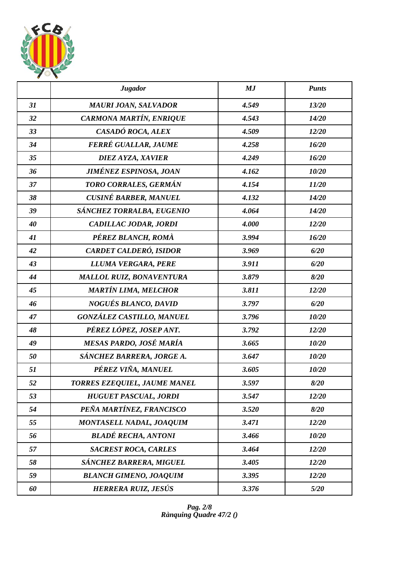

|    | <b>Jugador</b>                  | MJ    | <b>Punts</b> |
|----|---------------------------------|-------|--------------|
| 31 | <b>MAURI JOAN, SALVADOR</b>     | 4.549 | 13/20        |
| 32 | CARMONA MARTÍN, ENRIQUE         | 4.543 | 14/20        |
| 33 | CASADÓ ROCA, ALEX               | 4.509 | 12/20        |
| 34 | FERRÉ GUALLAR, JAUME            | 4.258 | 16/20        |
| 35 | <b>DIEZ AYZA, XAVIER</b>        | 4.249 | 16/20        |
| 36 | <b>JIMÉNEZ ESPINOSA, JOAN</b>   | 4.162 | 10/20        |
| 37 | TORO CORRALES, GERMÁN           | 4.154 | 11/20        |
| 38 | <b>CUSINÉ BARBER, MANUEL</b>    | 4.132 | 14/20        |
| 39 | SÁNCHEZ TORRALBA, EUGENIO       | 4.064 | 14/20        |
| 40 | CADILLAC JODAR, JORDI           | 4.000 | 12/20        |
| 41 | PÉREZ BLANCH, ROMÀ              | 3.994 | 16/20        |
| 42 | CARDET CALDERÓ, ISIDOR          | 3.969 | 6/20         |
| 43 | LLUMA VERGARA, PERE             | 3.911 | 6/20         |
| 44 | <b>MALLOL RUIZ, BONAVENTURA</b> | 3.879 | 8/20         |
| 45 | <b>MARTÍN LIMA, MELCHOR</b>     | 3.811 | 12/20        |
| 46 | <b>NOGUÉS BLANCO, DAVID</b>     | 3.797 | 6/20         |
| 47 | GONZÁLEZ CASTILLO, MANUEL       | 3.796 | 10/20        |
| 48 | PÉREZ LÓPEZ, JOSEP ANT.         | 3.792 | 12/20        |
| 49 | MESAS PARDO, JOSÉ MARÍA         | 3.665 | 10/20        |
| 50 | SÁNCHEZ BARRERA, JORGE A.       | 3.647 | 10/20        |
| 51 | PÉREZ VIÑA, MANUEL              | 3.605 | 10/20        |
| 52 | TORRES EZEQUIEL, JAUME MANEL    | 3.597 | 8/20         |
| 53 | <b>HUGUET PASCUAL, JORDI</b>    | 3.547 | 12/20        |
| 54 | PEÑA MARTÍNEZ, FRANCISCO        | 3.520 | 8/20         |
| 55 | MONTASELL NADAL, JOAQUIM        | 3.471 | 12/20        |
| 56 | <b>BLADÉ RECHA, ANTONI</b>      | 3.466 | 10/20        |
| 57 | <b>SACREST ROCA, CARLES</b>     | 3.464 | 12/20        |
| 58 | SÁNCHEZ BARRERA, MIGUEL         | 3.405 | 12/20        |
| 59 | <b>BLANCH GIMENO, JOAQUIM</b>   | 3.395 | 12/20        |
| 60 | HERRERA RUIZ, JESÚS             | 3.376 | 5/20         |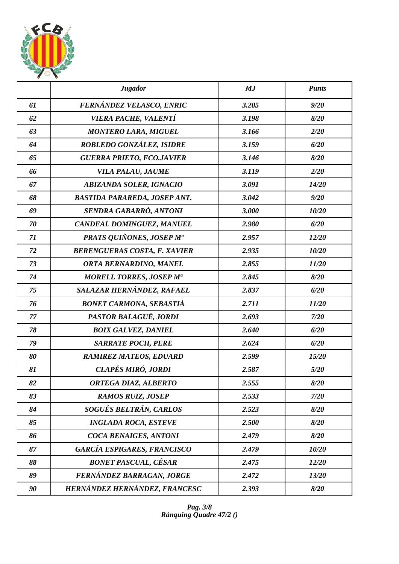

|    | <b>Jugador</b>                       | MJ    | <b>Punts</b> |
|----|--------------------------------------|-------|--------------|
| 61 | FERNÁNDEZ VELASCO, ENRIC             | 3.205 | 9/20         |
| 62 | <b>VIERA PACHE, VALENTÍ</b>          | 3.198 | 8/20         |
| 63 | <b>MONTERO LARA, MIGUEL</b>          | 3.166 | 2/20         |
| 64 | ROBLEDO GONZÁLEZ, ISIDRE             | 3.159 | 6/20         |
| 65 | <b>GUERRA PRIETO, FCO.JAVIER</b>     | 3.146 | 8/20         |
| 66 | VILA PALAU, JAUME                    | 3.119 | 2/20         |
| 67 | <b>ABIZANDA SOLER, IGNACIO</b>       | 3.091 | 14/20        |
| 68 | <b>BASTIDA PARAREDA, JOSEP ANT.</b>  | 3.042 | 9/20         |
| 69 | SENDRA GABARRÓ, ANTONI               | 3.000 | 10/20        |
| 70 | CANDEAL DOMINGUEZ, MANUEL            | 2.980 | 6/20         |
| 71 | PRATS QUIÑONES, JOSEP M <sup>a</sup> | 2.957 | 12/20        |
| 72 | <b>BERENGUERAS COSTA, F. XAVIER</b>  | 2.935 | 10/20        |
| 73 | ORTA BERNARDINO, MANEL               | 2.855 | 11/20        |
| 74 | <b>MORELL TORRES, JOSEP Ma</b>       | 2.845 | 8/20         |
| 75 | SALAZAR HERNÁNDEZ, RAFAEL            | 2.837 | 6/20         |
| 76 | <b>BONET CARMONA, SEBASTIÀ</b>       | 2.711 | 11/20        |
| 77 | PASTOR BALAGUÉ, JORDI                | 2.693 | 7/20         |
| 78 | <b>BOIX GALVEZ, DANIEL</b>           | 2.640 | 6/20         |
| 79 | <b>SARRATE POCH, PERE</b>            | 2.624 | 6/20         |
| 80 | <b>RAMIREZ MATEOS, EDUARD</b>        | 2.599 | 15/20        |
| 81 | CLAPÉS MIRÓ, JORDI                   | 2.587 | 5/20         |
| 82 | ORTEGA DIAZ, ALBERTO                 | 2.555 | 8/20         |
| 83 | <b>RAMOS RUIZ, JOSEP</b>             | 2.533 | 7/20         |
| 84 | SOGUÉS BELTRÁN, CARLOS               | 2.523 | 8/20         |
| 85 | <b>INGLADA ROCA, ESTEVE</b>          | 2.500 | 8/20         |
| 86 | COCA BENAIGES, ANTONI                | 2.479 | 8/20         |
| 87 | <b>GARCÍA ESPIGARES, FRANCISCO</b>   | 2.479 | 10/20        |
| 88 | <b>BONET PASCUAL, CÉSAR</b>          | 2.475 | 12/20        |
| 89 | FERNÁNDEZ BARRAGAN, JORGE            | 2.472 | 13/20        |
| 90 | HERNÁNDEZ HERNÁNDEZ, FRANCESC        | 2.393 | 8/20         |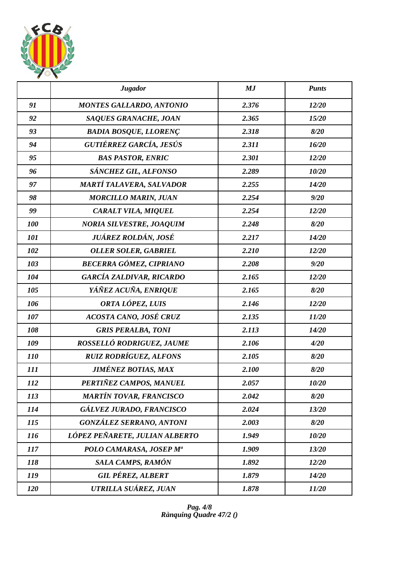

|            | <b>Jugador</b>                  | MJ    | <b>Punts</b> |
|------------|---------------------------------|-------|--------------|
| 91         | <b>MONTES GALLARDO, ANTONIO</b> | 2.376 | 12/20        |
| 92         | SAQUES GRANACHE, JOAN           | 2.365 | 15/20        |
| 93         | <b>BADIA BOSQUE, LLORENÇ</b>    | 2.318 | 8/20         |
| 94         | GUTIÉRREZ GARCÍA, JESÚS         | 2.311 | 16/20        |
| 95         | <b>BAS PASTOR, ENRIC</b>        | 2.301 | 12/20        |
| 96         | SÁNCHEZ GIL, ALFONSO            | 2.289 | 10/20        |
| 97         | <b>MARTÍ TALAVERA, SALVADOR</b> | 2.255 | 14/20        |
| 98         | <b>MORCILLO MARIN, JUAN</b>     | 2.254 | 9/20         |
| 99         | CARALT VILA, MIQUEL             | 2.254 | 12/20        |
| 100        | <b>NORIA SILVESTRE, JOAQUIM</b> | 2.248 | 8/20         |
| 101        | JUÁREZ ROLDÁN, JOSÉ             | 2.217 | 14/20        |
| 102        | <b>OLLER SOLER, GABRIEL</b>     | 2.210 | 12/20        |
| 103        | <b>BECERRA GÓMEZ, CIPRIANO</b>  | 2.208 | 9/20         |
| 104        | <b>GARCÍA ZALDIVAR, RICARDO</b> | 2.165 | 12/20        |
| 105        | YÁÑEZ ACUÑA, ENRIQUE            | 2.165 | 8/20         |
| 106        | ORTA LÓPEZ, LUIS                | 2.146 | 12/20        |
| 107        | ACOSTA CANO, JOSÉ CRUZ          | 2.135 | 11/20        |
| 108        | <b>GRIS PERALBA, TONI</b>       | 2.113 | 14/20        |
| 109        | ROSSELLÓ RODRIGUEZ, JAUME       | 2.106 | 4/20         |
| <b>110</b> | <b>RUIZ RODRÍGUEZ, ALFONS</b>   | 2.105 | 8/20         |
| 111        | <b>JIMÉNEZ BOTIAS, MAX</b>      | 2.100 | 8/20         |
| 112        | PERTIÑEZ CAMPOS, MANUEL         | 2.057 | 10/20        |
| 113        | <b>MARTÍN TOVAR, FRANCISCO</b>  | 2.042 | 8/20         |
| 114        | GÁLVEZ JURADO, FRANCISCO        | 2.024 | 13/20        |
| 115        | <b>GONZÁLEZ SERRANO, ANTONI</b> | 2.003 | 8/20         |
| <i>116</i> | LÓPEZ PEÑARETE, JULIAN ALBERTO  | 1.949 | 10/20        |
| 117        | POLO CAMARASA, JOSEP Mª         | 1.909 | 13/20        |
| 118        | SALA CAMPS, RAMÓN               | 1.892 | 12/20        |
| 119        | <b>GIL PÉREZ, ALBERT</b>        | 1.879 | 14/20        |
| 120        | UTRILLA SUÁREZ, JUAN            | 1.878 | 11/20        |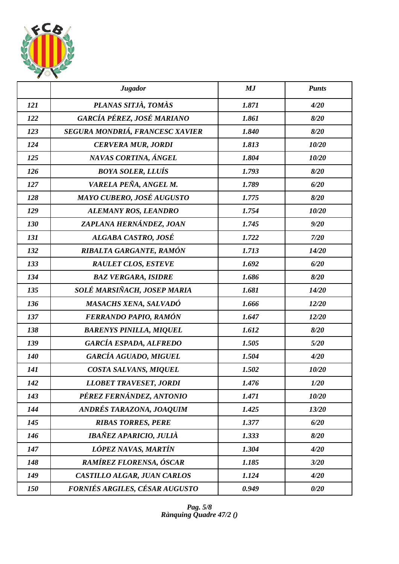

|     | <b>Jugador</b>                  | MJ    | <b>Punts</b> |
|-----|---------------------------------|-------|--------------|
| 121 | PLANAS SITJÀ, TOMÀS             | 1.871 | 4/20         |
| 122 | GARCÍA PÉREZ, JOSÉ MARIANO      | 1.861 | 8/20         |
| 123 | SEGURA MONDRIÁ, FRANCESC XAVIER | 1.840 | 8/20         |
| 124 | <b>CERVERA MUR, JORDI</b>       | 1.813 | 10/20        |
| 125 | NAVAS CORTINA, ÁNGEL            | 1.804 | 10/20        |
| 126 | <b>BOYA SOLER, LLUÍS</b>        | 1.793 | 8/20         |
| 127 | VARELA PEÑA, ANGEL M.           | 1.789 | 6/20         |
| 128 | MAYO CUBERO, JOSÉ AUGUSTO       | 1.775 | 8/20         |
| 129 | ALEMANY ROS, LEANDRO            | 1.754 | 10/20        |
| 130 | ZAPLANA HERNÁNDEZ, JOAN         | 1.745 | 9/20         |
| 131 | ALGABA CASTRO, JOSÉ             | 1.722 | 7/20         |
| 132 | RIBALTA GARGANTE, RAMÓN         | 1.713 | 14/20        |
| 133 | <b>RAULET CLOS, ESTEVE</b>      | 1.692 | 6/20         |
| 134 | <b>BAZ VERGARA, ISIDRE</b>      | 1.686 | 8/20         |
| 135 | SOLÉ MARSIÑACH, JOSEP MARIA     | 1.681 | 14/20        |
| 136 | <b>MASACHS XENA, SALVADÓ</b>    | 1.666 | 12/20        |
| 137 | FERRANDO PAPIO, RAMÓN           | 1.647 | 12/20        |
| 138 | <b>BARENYS PINILLA, MIQUEL</b>  | 1.612 | 8/20         |
| 139 | <b>GARCÍA ESPADA, ALFREDO</b>   | 1.505 | 5/20         |
| 140 | GARCÍA AGUADO, MIGUEL           | 1.504 | 4/20         |
| 141 | COSTA SALVANS, MIQUEL           | 1.502 | 10/20        |
| 142 | <b>LLOBET TRAVESET, JORDI</b>   | 1.476 | 1/20         |
| 143 | PÉREZ FERNÁNDEZ, ANTONIO        | 1.471 | 10/20        |
| 144 | ANDRÉS TARAZONA, JOAQUIM        | 1.425 | 13/20        |
| 145 | <b>RIBAS TORRES, PERE</b>       | 1.377 | 6/20         |
| 146 | IBAÑEZ APARICIO, JULIÀ          | 1.333 | 8/20         |
| 147 | LÓPEZ NAVAS, MARTÍN             | 1.304 | 4/20         |
| 148 | RAMÍREZ FLORENSA, ÓSCAR         | 1.185 | 3/20         |
| 149 | CASTILLO ALGAR, JUAN CARLOS     | 1.124 | 4/20         |
| 150 | FORNIÉS ARGILES, CÉSAR AUGUSTO  | 0.949 | 0/20         |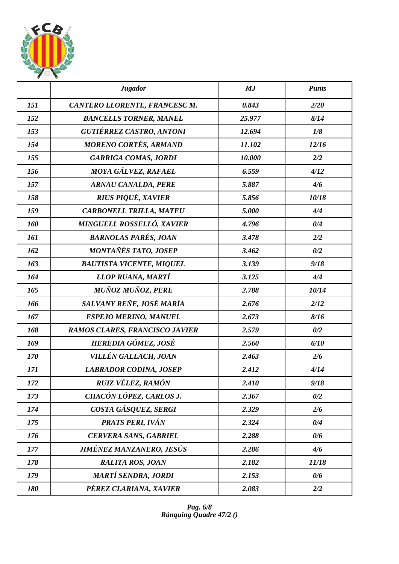

|            | <b>Jugador</b>                   | MJ     | <b>Punts</b> |
|------------|----------------------------------|--------|--------------|
| 151        | CANTERO LLORENTE, FRANCESC M.    | 0.843  | 2/20         |
| 152        | <b>BANCELLS TORNER, MANEL</b>    | 25.977 | 8/14         |
| 153        | <b>GUTIÉRREZ CASTRO, ANTONI</b>  | 12.694 | 1/8          |
| 154        | <b>MORENO CORTÉS, ARMAND</b>     | 11.102 | 12/16        |
| 155        | <b>GARRIGA COMAS, JORDI</b>      | 10.000 | 2/2          |
| 156        | MOYA GÁLVEZ, RAFAEL              | 6.559  | 4/12         |
| 157        | <b>ARNAU CANALDA, PERE</b>       | 5.887  | 4/6          |
| 158        | <b>RIUS PIQUÉ, XAVIER</b>        | 5.856  | 10/18        |
| 159        | <b>CARBONELL TRILLA, MATEU</b>   | 5.000  | 4/4          |
| 160        | <b>MINGUELL ROSSELLÓ, XAVIER</b> | 4.796  | 0/4          |
| <b>161</b> | <b>BARNOLAS PARÉS, JOAN</b>      | 3.478  | 2/2          |
| 162        | MONTAÑÉS TATO, JOSEP             | 3.462  | 0/2          |
| 163        | <b>BAUTISTA VICENTE, MIQUEL</b>  | 3.139  | 9/18         |
| 164        | LLOP RUANA, MARTÍ                | 3.125  | 4/4          |
| 165        | <b>MUÑOZ MUÑOZ, PERE</b>         | 2.788  | 10/14        |
| 166        | SALVANY REÑE, JOSÉ MARÍA         | 2.676  | 2/12         |
| 167        | <b>ESPEJO MERINO, MANUEL</b>     | 2.673  | 8/16         |
| 168        | RAMOS CLARES, FRANCISCO JAVIER   | 2.579  | 0/2          |
| 169        | HEREDIA GÓMEZ, JOSÉ              | 2.560  | 6/10         |
| 170        | VILLÉN GALLACH, JOAN             | 2.463  | 2/6          |
| 171        | <b>LABRADOR CODINA, JOSEP</b>    | 2.412  | 4/14         |
| 172        | RUIZ VÉLEZ, RAMÓN                | 2.410  | 9/18         |
| 173        | CHACÓN LÓPEZ, CARLOS J.          | 2.367  | 0/2          |
| 174        | COSTA GÁSQUEZ, SERGI             | 2.329  | 2/6          |
| 175        | PRATS PERI, IVÁN                 | 2.324  | 0/4          |
| 176        | <b>CERVERA SANS, GABRIEL</b>     | 2.288  | 0/6          |
| 177        | <b>JIMÉNEZ MANZANERO, JESÚS</b>  | 2.286  | 4/6          |
| 178        | <b>RALITA ROS, JOAN</b>          | 2.182  | 11/18        |
| 179        | <b>MARTÍ SENDRA, JORDI</b>       | 2.153  | 0/6          |
| 180        | PÉREZ CLARIANA, XAVIER           | 2.083  | 2/2          |

*Pag. 6/8 Rànquing Quadre 47/2 ()*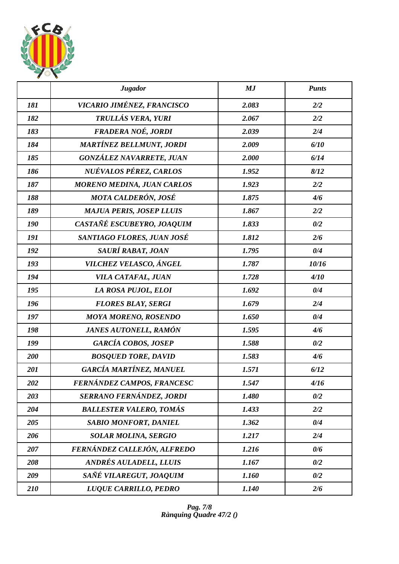

|     | <b>Jugador</b>                    | MJ    | <b>Punts</b> |
|-----|-----------------------------------|-------|--------------|
| 181 | VICARIO JIMÉNEZ, FRANCISCO        | 2.083 | 2/2          |
| 182 | TRULLÁS VERA, YURI                | 2.067 | 2/2          |
| 183 | FRADERA NOÉ, JORDI                | 2.039 | 2/4          |
| 184 | <b>MARTÍNEZ BELLMUNT, JORDI</b>   | 2.009 | 6/10         |
| 185 | GONZÁLEZ NAVARRETE, JUAN          | 2.000 | 6/14         |
| 186 | NUÉVALOS PÉREZ, CARLOS            | 1.952 | 8/12         |
| 187 | <b>MORENO MEDINA, JUAN CARLOS</b> | 1.923 | 2/2          |
| 188 | MOTA CALDERÓN, JOSÉ               | 1.875 | 4/6          |
| 189 | <b>MAJUA PERIS, JOSEP LLUIS</b>   | 1.867 | 2/2          |
| 190 | CASTAÑÉ ESCUBEYRO, JOAQUIM        | 1.833 | 0/2          |
| 191 | SANTIAGO FLORES, JUAN JOSÉ        | 1.812 | 2/6          |
| 192 | SAURÍ RABAT, JOAN                 | 1.795 | 0/4          |
| 193 | VILCHEZ VELASCO, ÁNGEL            | 1.787 | 10/16        |
| 194 | VILA CATAFAL, JUAN                | 1.728 | 4/10         |
| 195 | LA ROSA PUJOL, ELOI               | 1.692 | 0/4          |
| 196 | <b>FLORES BLAY, SERGI</b>         | 1.679 | 2/4          |
| 197 | <b>MOYA MORENO, ROSENDO</b>       | 1.650 | 0/4          |
| 198 | <b>JANES AUTONELL, RAMÓN</b>      | 1.595 | 4/6          |
| 199 | <b>GARCÍA COBOS, JOSEP</b>        | 1.588 | 0/2          |
| 200 | <b>BOSQUED TORE, DAVID</b>        | 1.583 | 4/6          |
| 201 | GARCÍA MARTÍNEZ, MANUEL           | 1.571 | 6/12         |
| 202 | FERNÁNDEZ CAMPOS, FRANCESC        | 1.547 | 4/16         |
| 203 | SERRANO FERNÁNDEZ, JORDI          | 1.480 | 0/2          |
| 204 | <b>BALLESTER VALERO, TOMÁS</b>    | 1.433 | 2/2          |
| 205 | <b>SABIO MONFORT, DANIEL</b>      | 1.362 | 0/4          |
| 206 | <b>SOLAR MOLINA, SERGIO</b>       | 1.217 | 2/4          |
| 207 | FERNÁNDEZ CALLEJÓN, ALFREDO       | 1.216 | 0/6          |
| 208 | <b>ANDRÉS AULADELL, LLUIS</b>     | 1.167 | 0/2          |
| 209 | SAÑÉ VILAREGUT, JOAQUIM           | 1.160 | 0/2          |
| 210 | LUQUE CARRILLO, PEDRO             | 1.140 | 2/6          |